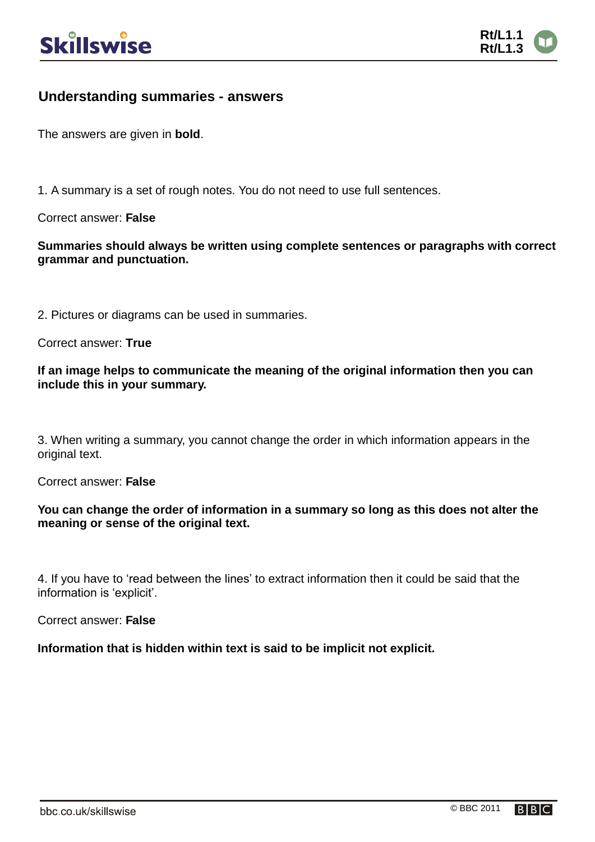

## **Understanding summaries - answers**

The answers are given in **bold**.

1. A summary is a set of rough notes. You do not need to use full sentences.

Correct answer: **False**

**Summaries should always be written using complete sentences or paragraphs with correct grammar and punctuation.**

2. Pictures or diagrams can be used in summaries.

Correct answer: **True**

**If an image helps to communicate the meaning of the original information then you can include this in your summary.**

3. When writing a summary, you cannot change the order in which information appears in the original text.

Correct answer: **False**

**You can change the order of information in a summary so long as this does not alter the meaning or sense of the original text.**

4. If you have to 'read between the lines' to extract information then it could be said that the information is 'explicit'.

Correct answer: **False**

**Information that is hidden within text is said to be implicit not explicit.**